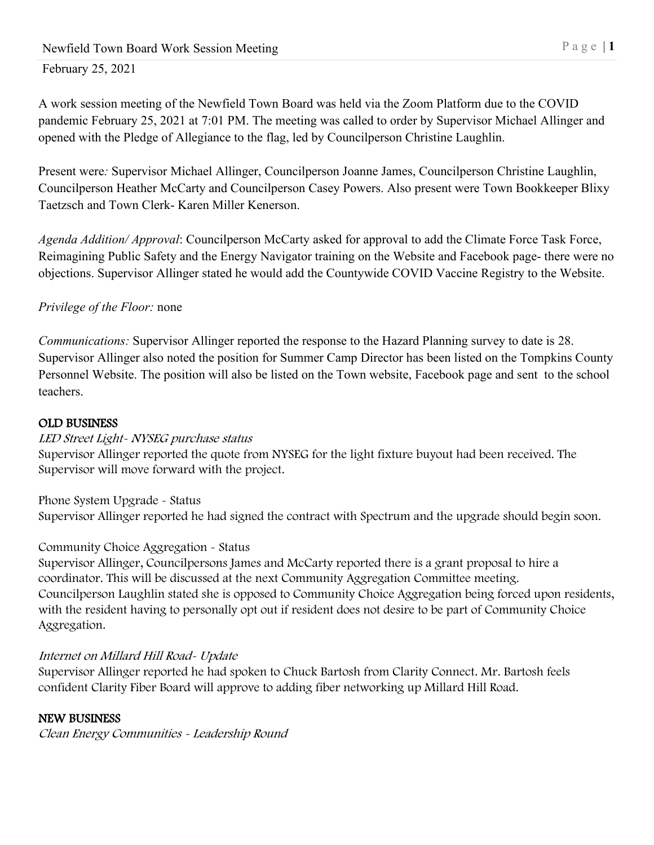## February 25, 2021

A work session meeting of the Newfield Town Board was held via the Zoom Platform due to the COVID pandemic February 25, 2021 at 7:01 PM. The meeting was called to order by Supervisor Michael Allinger and opened with the Pledge of Allegiance to the flag, led by Councilperson Christine Laughlin.

Present were*:* Supervisor Michael Allinger, Councilperson Joanne James, Councilperson Christine Laughlin, Councilperson Heather McCarty and Councilperson Casey Powers. Also present were Town Bookkeeper Blixy Taetzsch and Town Clerk- Karen Miller Kenerson.

*Agenda Addition/ Approval*: Councilperson McCarty asked for approval to add the Climate Force Task Force, Reimagining Public Safety and the Energy Navigator training on the Website and Facebook page- there were no objections. Supervisor Allinger stated he would add the Countywide COVID Vaccine Registry to the Website.

## *Privilege of the Floor:* none

*Communications:* Supervisor Allinger reported the response to the Hazard Planning survey to date is 28. Supervisor Allinger also noted the position for Summer Camp Director has been listed on the Tompkins County Personnel Website. The position will also be listed on the Town website, Facebook page and sent to the school teachers.

#### OLD BUSINESS

LED Street Light- NYSEG purchase status Supervisor Allinger reported the quote from NYSEG for the light fixture buyout had been received. The

Supervisor will move forward with the project.

Phone System Upgrade - Status Supervisor Allinger reported he had signed the contract with Spectrum and the upgrade should begin soon.

## Community Choice Aggregation - Status

Supervisor Allinger, Councilpersons James and McCarty reported there is a grant proposal to hire a coordinator. This will be discussed at the next Community Aggregation Committee meeting. Councilperson Laughlin stated she is opposed to Community Choice Aggregation being forced upon residents, with the resident having to personally opt out if resident does not desire to be part of Community Choice Aggregation.

## Internet on Millard Hill Road- Update

Supervisor Allinger reported he had spoken to Chuck Bartosh from Clarity Connect. Mr. Bartosh feels confident Clarity Fiber Board will approve to adding fiber networking up Millard Hill Road.

# NEW BUSINESS

Clean Energy Communities - Leadership Round